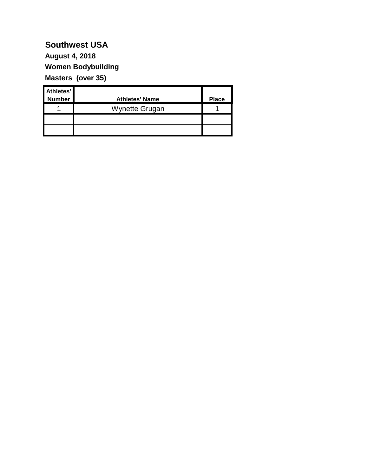**Women Bodybuilding Masters (over 35) August 4, 2018**

| Athletes'<br><b>Number</b> | <b>Athletes' Name</b> | <b>Place</b> |
|----------------------------|-----------------------|--------------|
|                            | Wynette Grugan        |              |
|                            |                       |              |
|                            |                       |              |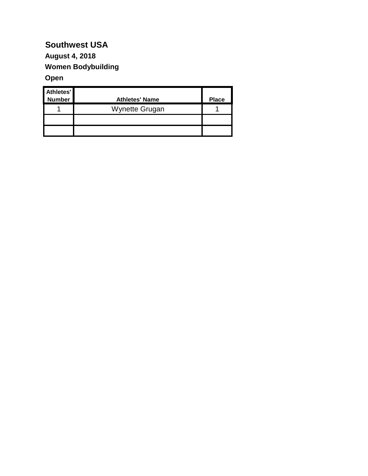#### **August 4, 2018**

**Women Bodybuilding**

#### **Open**

| Athletes'<br><b>Number</b> | <b>Athletes' Name</b> | <b>Place</b> |
|----------------------------|-----------------------|--------------|
|                            | Wynette Grugan        |              |
|                            |                       |              |
|                            |                       |              |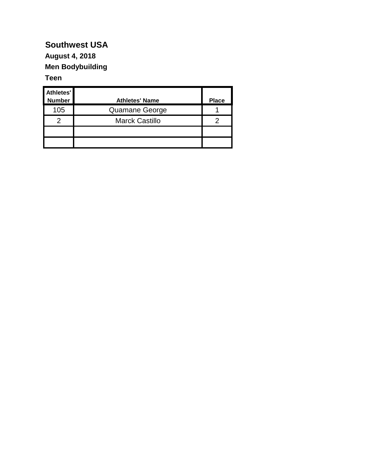#### **Southwest USA August 4, 2018**

# **Men Bodybuilding**

#### **Teen**

| Athletes'<br><b>Number</b> | <b>Athletes' Name</b> | <b>Place</b> |
|----------------------------|-----------------------|--------------|
| 105                        | Quamane George        |              |
| 2                          | <b>Marck Castillo</b> |              |
|                            |                       |              |
|                            |                       |              |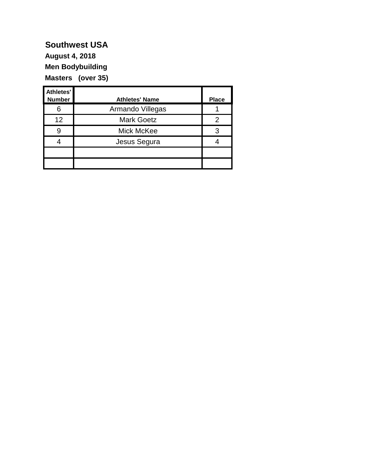**Men Bodybuilding Masters (over 35) August 4, 2018**

| Athletes'<br><b>Number</b> | <b>Athletes' Name</b> | <b>Place</b> |
|----------------------------|-----------------------|--------------|
| 6                          | Armando Villegas      |              |
| 12                         | <b>Mark Goetz</b>     |              |
|                            | Mick McKee            |              |
|                            | Jesus Segura          |              |
|                            |                       |              |
|                            |                       |              |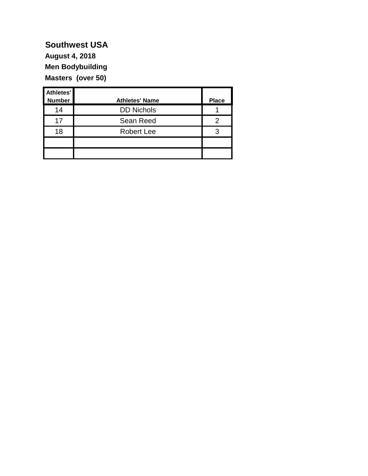**Men Bodybuilding Masters (over 50) August 4, 2018**

| Athletes'<br><b>Number</b> | <b>Athletes' Name</b> | <b>Place</b> |
|----------------------------|-----------------------|--------------|
| 14                         | <b>DD Nichols</b>     |              |
| 17                         | Sean Reed             |              |
| 18                         | <b>Robert Lee</b>     |              |
|                            |                       |              |
|                            |                       |              |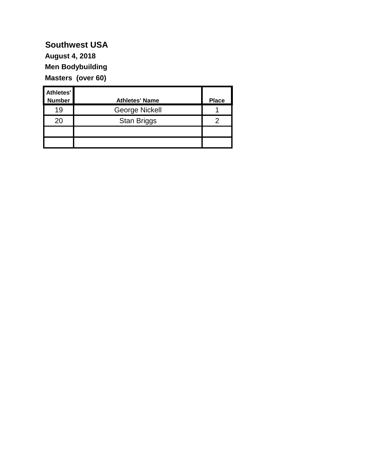**Men Bodybuilding Masters (over 60) August 4, 2018**

| Athletes'<br><b>Number</b> | <b>Athletes' Name</b> | <b>Place</b> |
|----------------------------|-----------------------|--------------|
| 19                         | George Nickell        |              |
| 20                         | <b>Stan Briggs</b>    |              |
|                            |                       |              |
|                            |                       |              |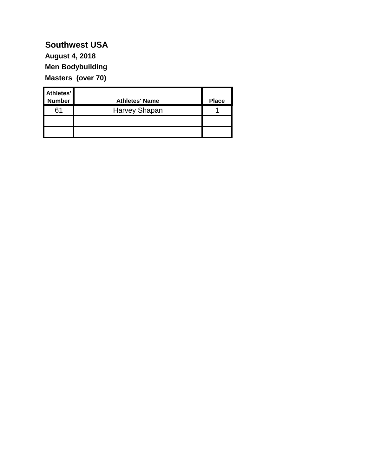**Men Bodybuilding Masters (over 70) August 4, 2018**

| Athletes'<br>Number | <b>Athletes' Name</b> | <b>Place</b> |
|---------------------|-----------------------|--------------|
| 61                  | Harvey Shapan         |              |
|                     |                       |              |
|                     |                       |              |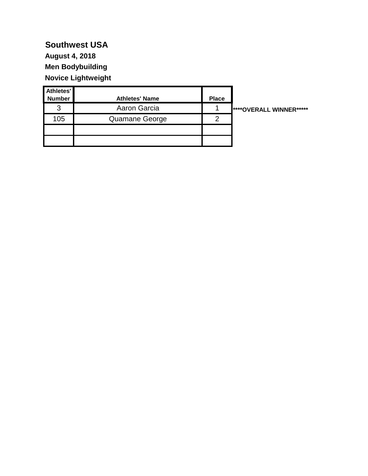## **Southwest USA August 4, 2018**

**Men Bodybuilding Novice Lightweight**

| Athletes'<br><b>Number</b> | <b>Athletes' Name</b> | <b>Place</b> |                         |
|----------------------------|-----------------------|--------------|-------------------------|
| 3                          | Aaron Garcia          |              | ****OVERALL WINNER***** |
| 105                        | Quamane George        | າ            |                         |
|                            |                       |              |                         |
|                            |                       |              |                         |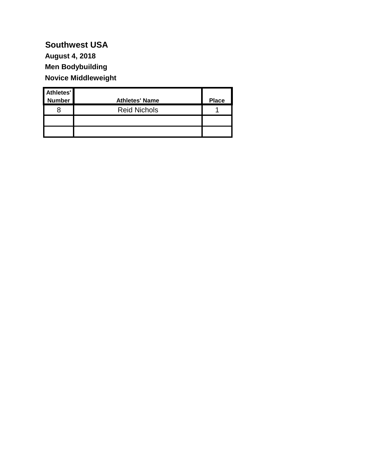### **Southwest USA Men Bodybuilding August 4, 2018**

**Novice Middleweight**

| Athletes'<br>Number | <b>Athletes' Name</b> | <b>Place</b> |
|---------------------|-----------------------|--------------|
|                     | <b>Reid Nichols</b>   |              |
|                     |                       |              |
|                     |                       |              |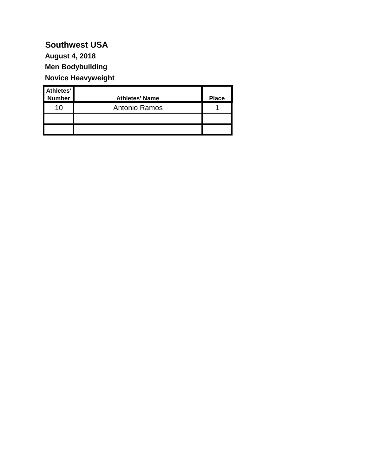#### **Men Bodybuilding Novice Heavyweight August 4, 2018**

| Athletes'     |                       |              |
|---------------|-----------------------|--------------|
| <b>Number</b> | <b>Athletes' Name</b> | <b>Place</b> |
| 10            | Antonio Ramos         |              |
|               |                       |              |
|               |                       |              |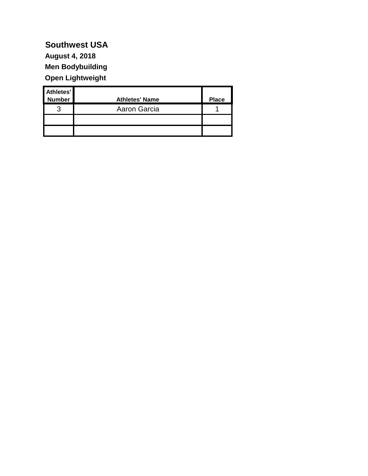**Men Bodybuilding Open Lightweight August 4, 2018**

| Athletes'<br><b>Number</b> | <b>Athletes' Name</b> | <b>Place</b> |
|----------------------------|-----------------------|--------------|
| 2                          | Aaron Garcia          |              |
|                            |                       |              |
|                            |                       |              |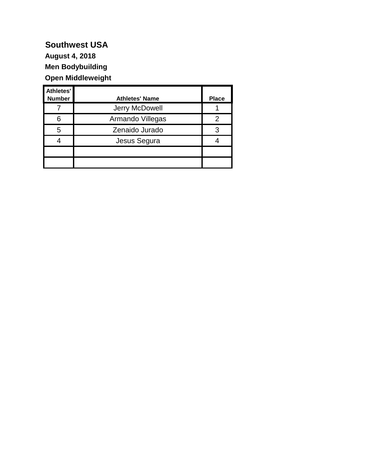#### **Southwest USA Men Bodybuilding Open Middleweight August 4, 2018**

| Athletes'<br><b>Number</b> | <b>Athletes' Name</b> | <b>Place</b> |
|----------------------------|-----------------------|--------------|
|                            | Jerry McDowell        |              |
|                            | Armando Villegas      |              |
| 5                          | Zenaido Jurado        | 3            |
|                            | Jesus Segura          |              |
|                            |                       |              |
|                            |                       |              |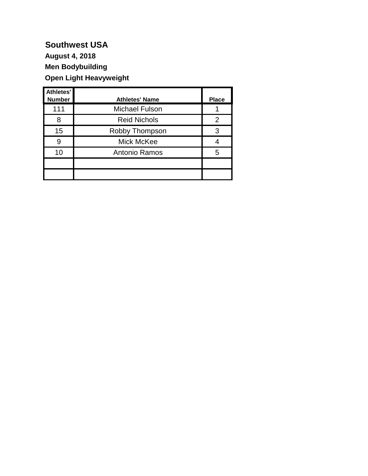**Men Bodybuilding Open Light Heavyweight August 4, 2018**

| Athletes'     |                       |              |
|---------------|-----------------------|--------------|
| <b>Number</b> | <b>Athletes' Name</b> | <b>Place</b> |
| 111           | <b>Michael Fulson</b> |              |
| 8             | <b>Reid Nichols</b>   | 2            |
| 15            | Robby Thompson        | 3            |
| 9             | Mick McKee            |              |
| 10            | Antonio Ramos         | 5            |
|               |                       |              |
|               |                       |              |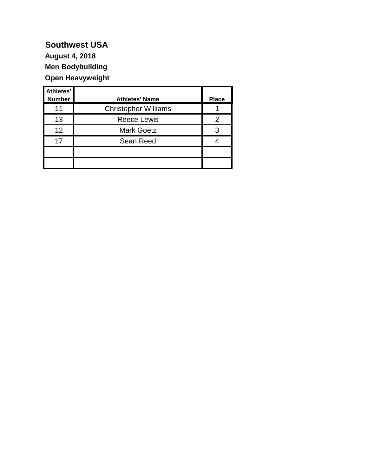## **Southwest USA August 4, 2018**

**Men Bodybuilding Open Heavyweight**

| Athletes'<br><b>Number</b> | <b>Athletes' Name</b>       | <b>Place</b> |
|----------------------------|-----------------------------|--------------|
| 11                         | <b>Christopher Williams</b> |              |
| 13                         | <b>Reece Lewis</b>          |              |
| 12                         | <b>Mark Goetz</b>           | З            |
| 17                         | Sean Reed                   |              |
|                            |                             |              |
|                            |                             |              |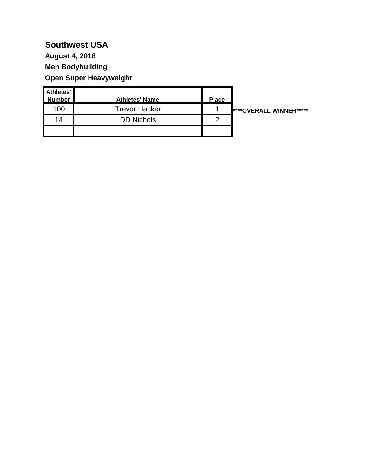**Men Bodybuilding Open Super Heavyweight August 4, 2018**

| Athletes'<br><b>Number</b> | <b>Athletes' Name</b> | <b>Place</b> |                                 |
|----------------------------|-----------------------|--------------|---------------------------------|
| 100                        | <b>Trevor Hacker</b>  |              | <b>I****OVERALL WINNER*****</b> |
| 14                         | <b>DD Nichols</b>     | റ            |                                 |
|                            |                       |              |                                 |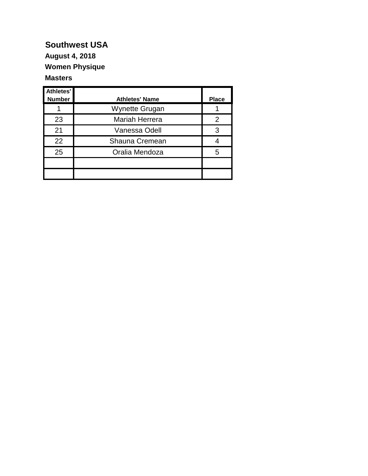## **August 4, 2018**

**Women Physique**

#### **Masters**

| Athletes'<br><b>Number</b> | <b>Athletes' Name</b> | <b>Place</b> |
|----------------------------|-----------------------|--------------|
|                            | <b>Wynette Grugan</b> |              |
| 23                         | Mariah Herrera        | 2            |
| 21                         | Vanessa Odell         | 3            |
| 22                         | Shauna Cremean        |              |
| 25                         | Oralia Mendoza        | 5            |
|                            |                       |              |
|                            |                       |              |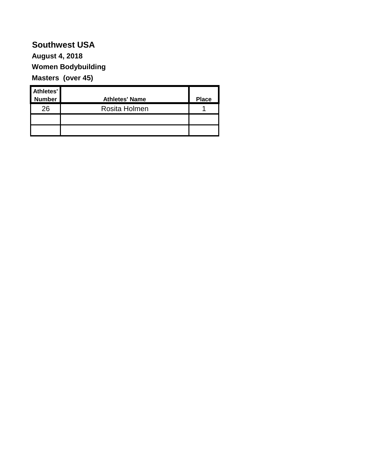#### **Southwest USA Women Bodybuilding Masters (over 45) August 4, 2018**

| Athletes'<br><b>Number</b> | <b>Athletes' Name</b> | <b>Place</b> |
|----------------------------|-----------------------|--------------|
| 26                         | Rosita Holmen         |              |
|                            |                       |              |
|                            |                       |              |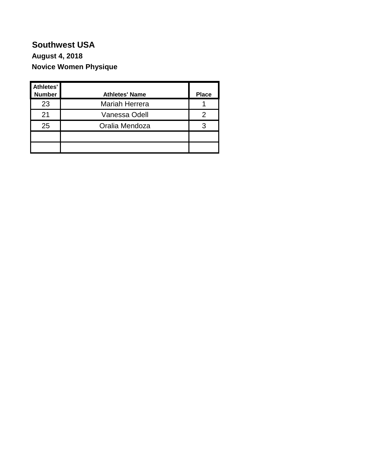#### **Southwest USA Novice Women Physique August 4, 2018**

| Athletes'<br><b>Number</b> | <b>Athletes' Name</b> | <b>Place</b> |
|----------------------------|-----------------------|--------------|
| 23                         | Mariah Herrera        |              |
| 21                         | Vanessa Odell         |              |
| 25                         | Oralia Mendoza        |              |
|                            |                       |              |
|                            |                       |              |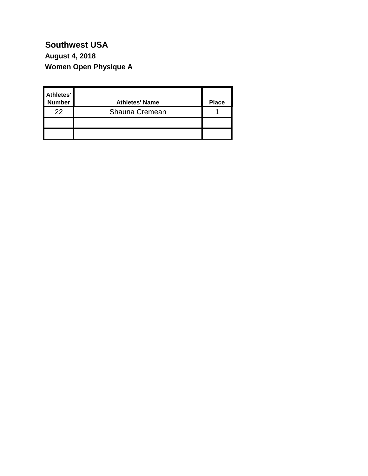**Women Open Physique A August 4, 2018**

| Athletes'<br><b>Number</b> | <b>Athletes' Name</b> | <b>Place</b> |
|----------------------------|-----------------------|--------------|
| 22                         | Shauna Cremean        |              |
|                            |                       |              |
|                            |                       |              |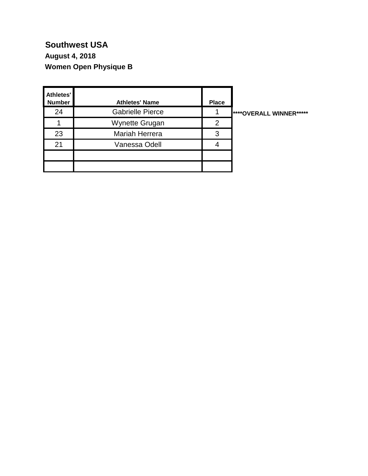### **Southwest USA Women Open Physique B August 4, 2018**

| Athletes'<br><b>Number</b> | <b>Athletes' Name</b>   | <b>Place</b> |                         |
|----------------------------|-------------------------|--------------|-------------------------|
| 24                         | <b>Gabrielle Pierce</b> |              | ****OVERALL WINNER***** |
|                            | Wynette Grugan          | 2            |                         |
| 23                         | Mariah Herrera          | 3            |                         |
| 21                         | Vanessa Odell           |              |                         |
|                            |                         |              |                         |
|                            |                         |              |                         |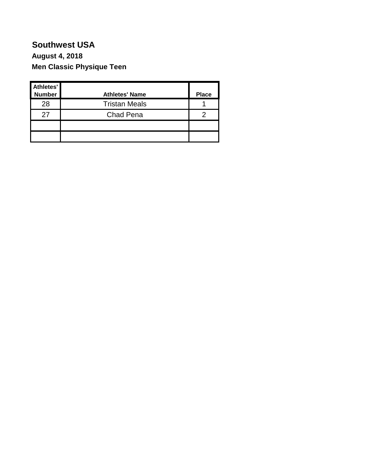#### **Southwest USA Men Classic Physique Teen August 4, 2018**

| Athletes'<br><b>Number</b> | <b>Athletes' Name</b> | <b>Place</b> |
|----------------------------|-----------------------|--------------|
| 28                         | <b>Tristan Meals</b>  |              |
| 27                         | <b>Chad Pena</b>      |              |
|                            |                       |              |
|                            |                       |              |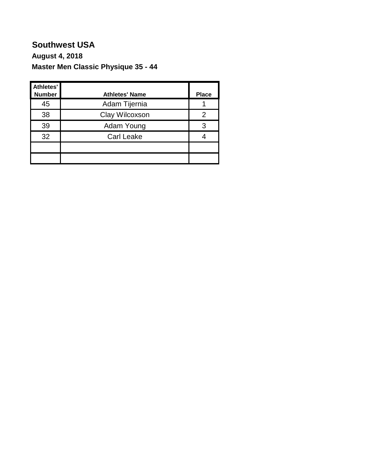### **Southwest USA Master Men Classic Physique 35 - 44 August 4, 2018**

| <b>Athletes'</b><br><b>Number</b> | <b>Athletes' Name</b> | <b>Place</b> |
|-----------------------------------|-----------------------|--------------|
| 45                                | Adam Tijernia         |              |
| 38                                | Clay Wilcoxson        |              |
| 39                                | Adam Young            | 3            |
| 32                                | <b>Carl Leake</b>     |              |
|                                   |                       |              |
|                                   |                       |              |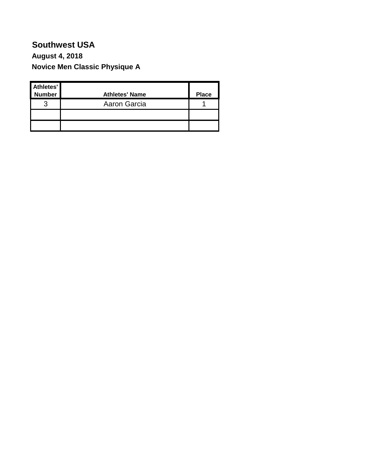#### **Southwest USA Novice Men Classic Physique A August 4, 2018**

| Athletes'<br>Number | <b>Athletes' Name</b> | <b>Place</b> |
|---------------------|-----------------------|--------------|
| ◠                   | Aaron Garcia          |              |
|                     |                       |              |
|                     |                       |              |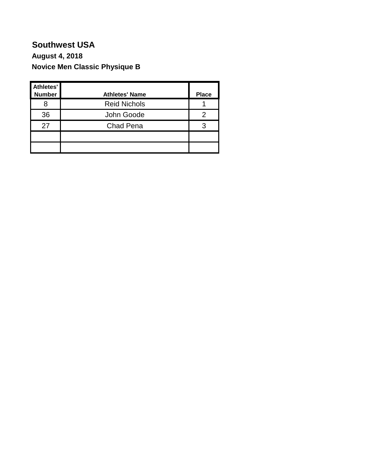#### **Southwest USA Novice Men Classic Physique B August 4, 2018**

| Athletes'<br><b>Number</b> | <b>Athletes' Name</b> | <b>Place</b> |
|----------------------------|-----------------------|--------------|
|                            | <b>Reid Nichols</b>   |              |
| 36                         | John Goode            |              |
| 27                         | Chad Pena             |              |
|                            |                       |              |
|                            |                       |              |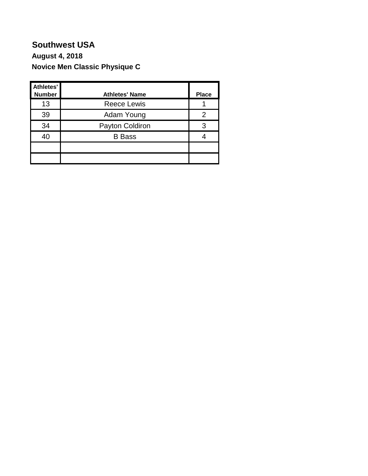#### **Southwest USA Novice Men Classic Physique C August 4, 2018**

| Athletes'<br><b>Number</b> | <b>Athletes' Name</b> | <b>Place</b> |
|----------------------------|-----------------------|--------------|
| 13                         | <b>Reece Lewis</b>    |              |
| 39                         | Adam Young            |              |
| 34                         | Payton Coldiron       |              |
| 40                         | <b>B</b> Bass         |              |
|                            |                       |              |
|                            |                       |              |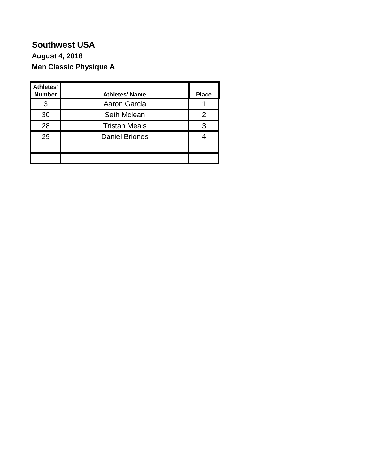#### **Southwest USA Men Classic Physique A August 4, 2018**

| Athletes'<br><b>Number</b> | <b>Athletes' Name</b> | <b>Place</b> |
|----------------------------|-----------------------|--------------|
| 3                          | Aaron Garcia          |              |
| 30                         | Seth Mclean           |              |
| 28                         | <b>Tristan Meals</b>  | 3            |
| 29                         | <b>Daniel Briones</b> |              |
|                            |                       |              |
|                            |                       |              |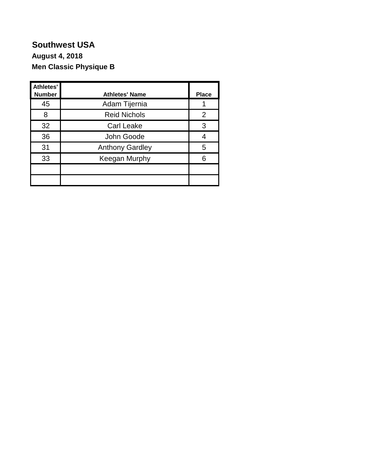#### **Southwest USA Men Classic Physique B August 4, 2018**

| Athletes'<br><b>Number</b> | <b>Athletes' Name</b>  | <b>Place</b> |
|----------------------------|------------------------|--------------|
| 45                         | Adam Tijernia          |              |
| 8                          | <b>Reid Nichols</b>    | 2            |
| 32                         | <b>Carl Leake</b>      | 3            |
| 36                         | John Goode             |              |
| 31                         | <b>Anthony Gardley</b> | 5            |
| 33                         | Keegan Murphy          | 6            |
|                            |                        |              |
|                            |                        |              |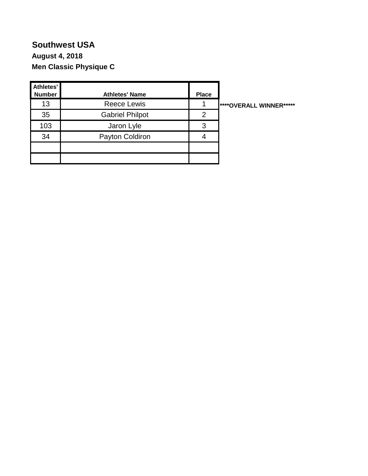#### **Southwest USA Men Classic Physique C August 4, 2018**

| Athletes'<br><b>Number</b> | <b>Athletes' Name</b>  | <b>Place</b> |                                       |
|----------------------------|------------------------|--------------|---------------------------------------|
| 13                         | <b>Reece Lewis</b>     |              | <b><i>****OVERALL WINNER*****</i></b> |
| 35                         | <b>Gabriel Philpot</b> | 2            |                                       |
| 103                        | Jaron Lyle             | 3            |                                       |
| 34                         | Payton Coldiron        |              |                                       |
|                            |                        |              |                                       |
|                            |                        |              |                                       |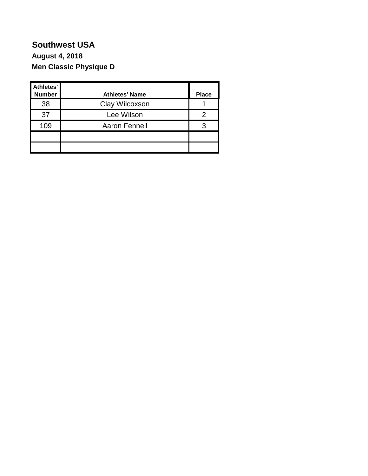#### **Southwest USA Men Classic Physique D August 4, 2018**

| Athletes'<br><b>Number</b> | <b>Athletes' Name</b> | <b>Place</b> |
|----------------------------|-----------------------|--------------|
| 38                         | Clay Wilcoxson        |              |
| 37                         | Lee Wilson            |              |
| 109                        | <b>Aaron Fennell</b>  | З            |
|                            |                       |              |
|                            |                       |              |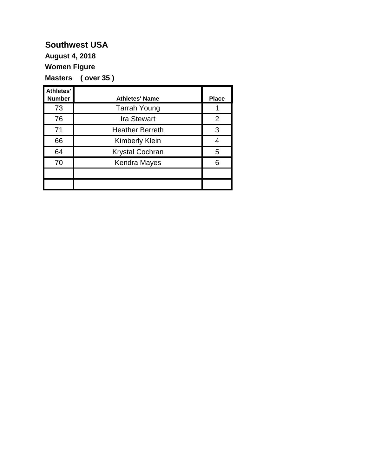**August 4, 2018**

**Women Figure**

**Masters ( over 35 )**

| <b>Athletes'</b><br><b>Number</b> | <b>Athletes' Name</b>  | <b>Place</b> |
|-----------------------------------|------------------------|--------------|
| 73                                | <b>Tarrah Young</b>    |              |
| 76                                | <b>Ira Stewart</b>     | 2            |
| 71                                | <b>Heather Berreth</b> | 3            |
| 66                                | <b>Kimberly Klein</b>  |              |
| 64                                | <b>Krystal Cochran</b> | 5            |
| 70                                | <b>Kendra Mayes</b>    | 6            |
|                                   |                        |              |
|                                   |                        |              |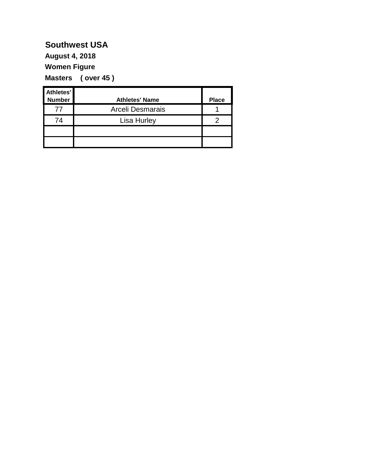**August 4, 2018**

**Women Figure**

**Masters ( over 45 )**

| Athletes'<br><b>Number</b> | <b>Athletes' Name</b> | <b>Place</b> |
|----------------------------|-----------------------|--------------|
| 77                         | Arceli Desmarais      |              |
| 74                         | <b>Lisa Hurley</b>    |              |
|                            |                       |              |
|                            |                       |              |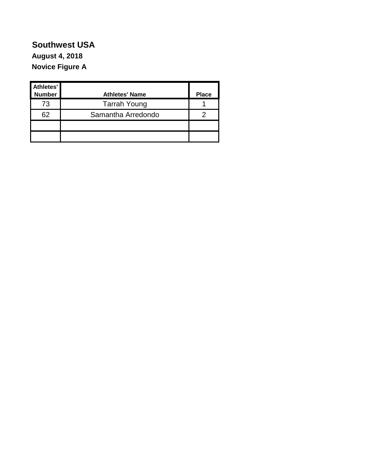#### **Southwest USA Novice Figure A August 4, 2018**

| Athletes'<br><b>Number</b> | <b>Athletes' Name</b> | <b>Place</b> |
|----------------------------|-----------------------|--------------|
| 73                         | <b>Tarrah Young</b>   |              |
| 62                         | Samantha Arredondo    |              |
|                            |                       |              |
|                            |                       |              |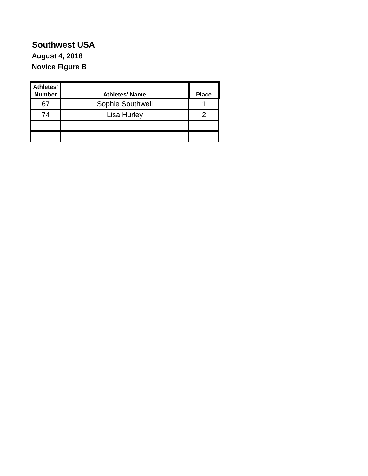#### **Southwest USA Novice Figure B August 4, 2018**

| Athletes'<br><b>Number</b> | <b>Athletes' Name</b> | <b>Place</b> |
|----------------------------|-----------------------|--------------|
| 67                         | Sophie Southwell      |              |
| 74                         | Lisa Hurley           |              |
|                            |                       |              |
|                            |                       |              |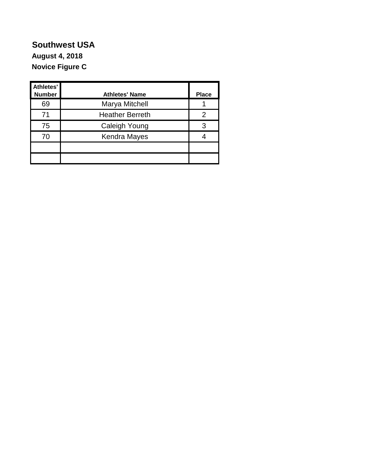#### **Southwest USA Novice Figure C August 4, 2018**

| Athletes'<br><b>Number</b> | <b>Athletes' Name</b>  | <b>Place</b> |
|----------------------------|------------------------|--------------|
| 69                         | Marya Mitchell         |              |
| 71                         | <b>Heather Berreth</b> | 2            |
| 75                         | Caleigh Young          | 3            |
| 70                         | <b>Kendra Mayes</b>    |              |
|                            |                        |              |
|                            |                        |              |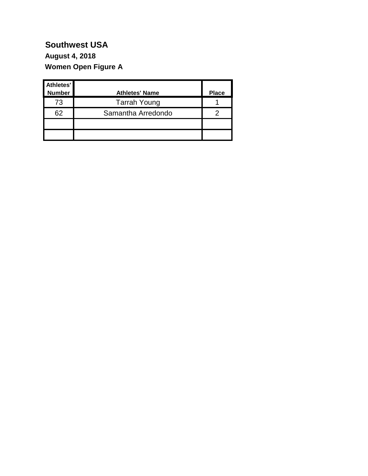### **Women Open Figure A August 4, 2018**

| Athletes'<br><b>Number</b> | <b>Athletes' Name</b> | <b>Place</b> |
|----------------------------|-----------------------|--------------|
| 73                         | <b>Tarrah Young</b>   |              |
| 62                         | Samantha Arredondo    |              |
|                            |                       |              |
|                            |                       |              |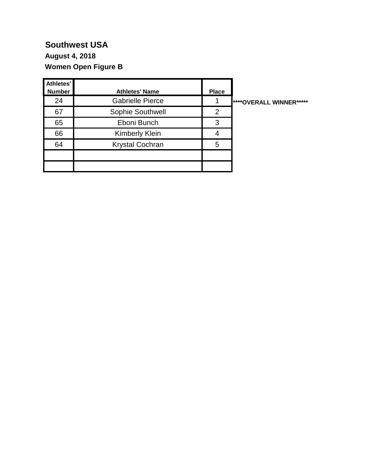### **Women Open Figure B August 4, 2018**

| Athletes'<br><b>Number</b> | <b>Athletes' Name</b>   | <b>Place</b> |                         |
|----------------------------|-------------------------|--------------|-------------------------|
| 24                         | <b>Gabrielle Pierce</b> |              | ****OVERALL WINNER***** |
| 67                         | Sophie Southwell        | 2            |                         |
| 65                         | Eboni Bunch             | 3            |                         |
| 66                         | <b>Kimberly Klein</b>   | 4            |                         |
| 64                         | <b>Krystal Cochran</b>  | 5            |                         |
|                            |                         |              |                         |
|                            |                         |              |                         |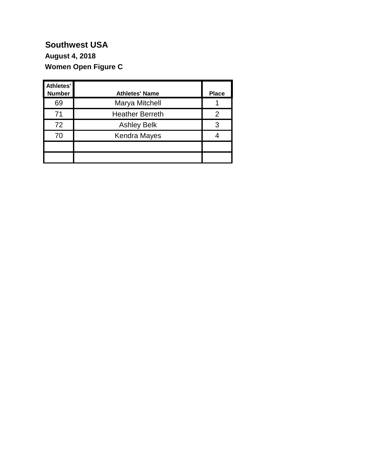#### **Women Open Figure C August 4, 2018**

| Athletes'<br><b>Number</b> | <b>Athletes' Name</b>  | <b>Place</b> |
|----------------------------|------------------------|--------------|
| 69                         | Marya Mitchell         |              |
| 71                         | <b>Heather Berreth</b> | 2            |
| 72                         | <b>Ashley Belk</b>     | 3            |
| 70                         | Kendra Mayes           |              |
|                            |                        |              |
|                            |                        |              |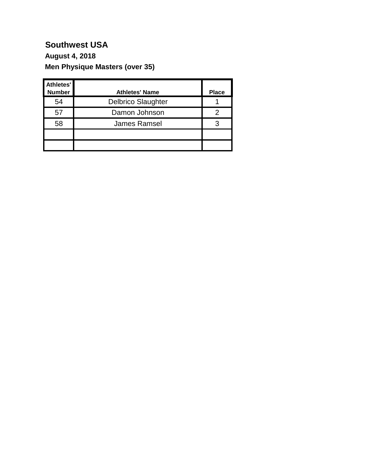### **Men Physique Masters (over 35) August 4, 2018**

| Athletes'<br><b>Number</b> | <b>Athletes' Name</b>     | <b>Place</b> |
|----------------------------|---------------------------|--------------|
| 54                         | <b>Delbrico Slaughter</b> |              |
| 57                         | Damon Johnson             |              |
| 58                         | <b>James Ramsel</b>       |              |
|                            |                           |              |
|                            |                           |              |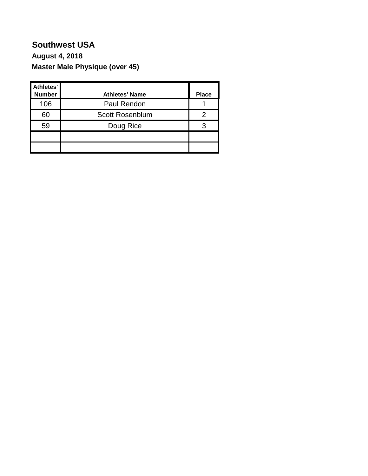### **Southwest USA Master Male Physique (over 45) August 4, 2018**

| Athletes'<br><b>Number</b> | <b>Athletes' Name</b>  | <b>Place</b> |
|----------------------------|------------------------|--------------|
| 106                        | Paul Rendon            |              |
| 60                         | <b>Scott Rosenblum</b> |              |
| 59                         | Doug Rice              | З            |
|                            |                        |              |
|                            |                        |              |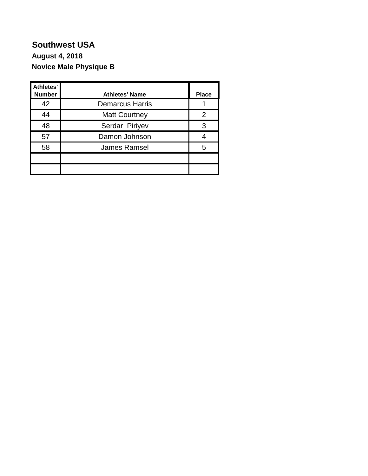#### **Southwest USA Novice Male Physique B August 4, 2018**

| <b>Athletes'</b><br><b>Number</b> | <b>Athletes' Name</b>  | <b>Place</b> |
|-----------------------------------|------------------------|--------------|
| 42                                | <b>Demarcus Harris</b> |              |
| 44                                | <b>Matt Courtney</b>   | 2            |
| 48                                | Serdar Piriyev         | 3            |
| 57                                | Damon Johnson          |              |
| 58                                | <b>James Ramsel</b>    | 5            |
|                                   |                        |              |
|                                   |                        |              |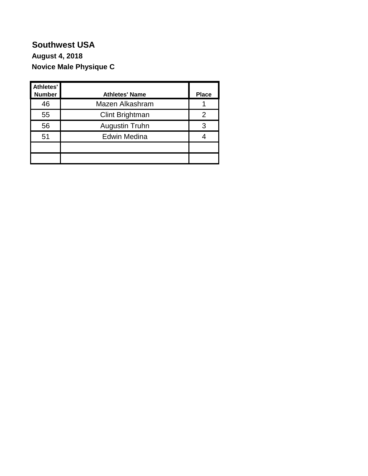#### **Southwest USA Novice Male Physique C August 4, 2018**

| Athletes'<br><b>Number</b> | <b>Athletes' Name</b> | <b>Place</b> |
|----------------------------|-----------------------|--------------|
| 46                         | Mazen Alkashram       |              |
| 55                         | Clint Brightman       |              |
| 56                         | Augustin Truhn        | 3            |
| 51                         | <b>Edwin Medina</b>   |              |
|                            |                       |              |
|                            |                       |              |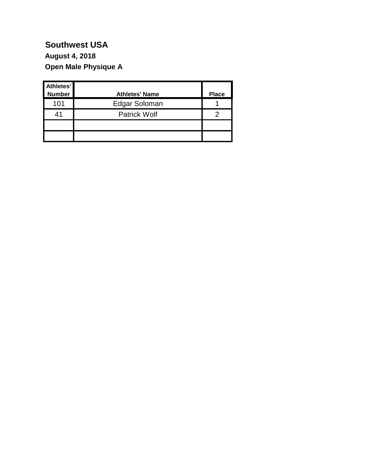### **Open Male Physique A August 4, 2018**

| Athletes'     |                       |              |
|---------------|-----------------------|--------------|
| <b>Number</b> | <b>Athletes' Name</b> | <b>Place</b> |
| 101           | Edgar Soloman         |              |
| 41            | <b>Patrick Wolf</b>   |              |
|               |                       |              |
|               |                       |              |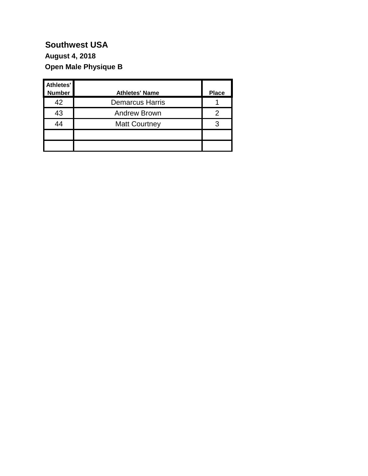### **Open Male Physique B August 4, 2018**

| Athletes'<br><b>Number</b> | <b>Athletes' Name</b>  | <b>Place</b> |
|----------------------------|------------------------|--------------|
| 42                         | <b>Demarcus Harris</b> |              |
| 43                         | <b>Andrew Brown</b>    |              |
| 44                         | <b>Matt Courtney</b>   |              |
|                            |                        |              |
|                            |                        |              |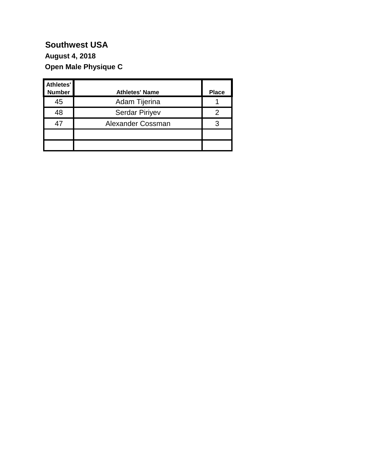### **Open Male Physique C August 4, 2018**

| Athletes'<br><b>Number</b> | <b>Athletes' Name</b> | <b>Place</b> |
|----------------------------|-----------------------|--------------|
| 45                         | Adam Tijerina         |              |
| 48                         | <b>Serdar Piriyev</b> |              |
| 47                         | Alexander Cossman     |              |
|                            |                       |              |
|                            |                       |              |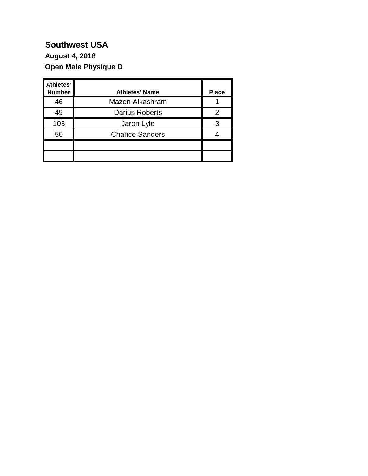### **Open Male Physique D August 4, 2018**

| Athletes'<br><b>Number</b> | <b>Athletes' Name</b> | <b>Place</b> |
|----------------------------|-----------------------|--------------|
| 46                         | Mazen Alkashram       |              |
| 49                         | <b>Darius Roberts</b> | 2            |
| 103                        | Jaron Lyle            | 3            |
| 50                         | <b>Chance Sanders</b> |              |
|                            |                       |              |
|                            |                       |              |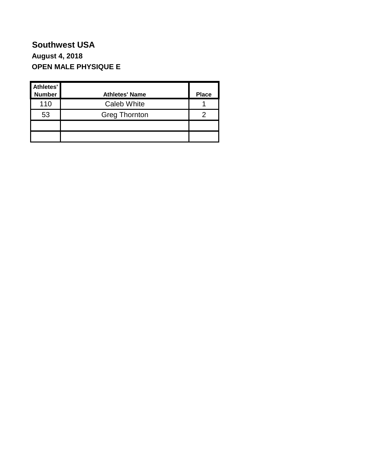#### **Southwest USA OPEN MALE PHYSIQUE E August 4, 2018**

| Athletes'<br>Number | <b>Athletes' Name</b> | <b>Place</b> |
|---------------------|-----------------------|--------------|
| 110                 | <b>Caleb White</b>    |              |
| 53                  | <b>Greg Thornton</b>  |              |
|                     |                       |              |
|                     |                       |              |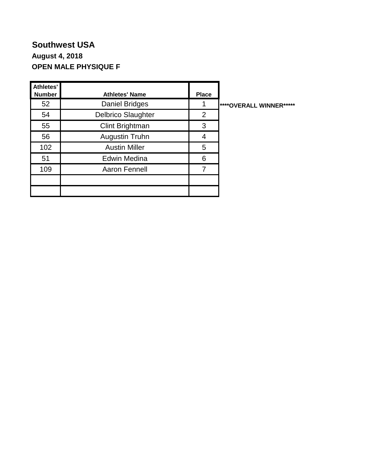#### **Southwest USA OPEN MALE PHYSIQUE F August 4, 2018**

| Athletes'<br><b>Number</b> | <b>Athletes' Name</b>     | <b>Place</b> |                                 |
|----------------------------|---------------------------|--------------|---------------------------------|
| 52                         | <b>Daniel Bridges</b>     |              | <b>I****OVERALL WINNER*****</b> |
| 54                         | <b>Delbrico Slaughter</b> | 2            |                                 |
| 55                         | Clint Brightman           | 3            |                                 |
| 56                         | Augustin Truhn            | 4            |                                 |
| 102                        | <b>Austin Miller</b>      | 5            |                                 |
| 51                         | <b>Edwin Medina</b>       | 6            |                                 |
| 109                        | Aaron Fennell             | 7            |                                 |
|                            |                           |              |                                 |
|                            |                           |              |                                 |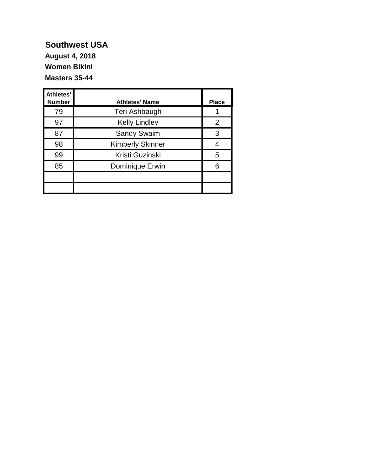**Women Bikini Masters 35-44 August 4, 2018**

| <b>Athletes'</b><br><b>Number</b> | <b>Athletes' Name</b>   | <b>Place</b> |
|-----------------------------------|-------------------------|--------------|
| 79                                | Teri Ashbaugh           |              |
| 97                                | <b>Kelly Lindley</b>    | 2            |
| 87                                | <b>Sandy Swaim</b>      | 3            |
| 98                                | <b>Kimberly Skinner</b> |              |
| 99                                | Kristi Guzinski         | 5            |
| 85                                | Dominique Erwin         | 6            |
|                                   |                         |              |
|                                   |                         |              |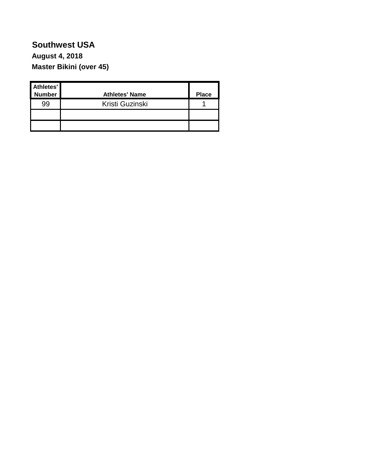### **Southwest USA Master Bikini (over 45) August 4, 2018**

| Athletes'<br><b>Number</b> | <b>Athletes' Name</b> | <b>Place</b> |
|----------------------------|-----------------------|--------------|
| 99                         | Kristi Guzinski       |              |
|                            |                       |              |
|                            |                       |              |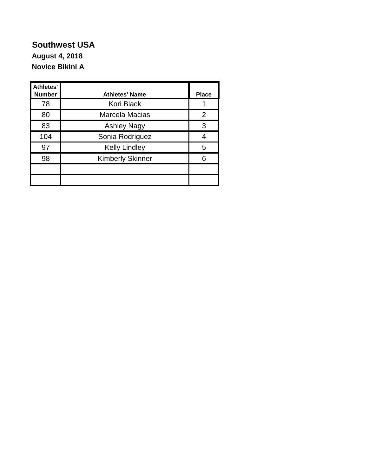#### **Southwest USA Novice Bikini A August 4, 2018**

| <b>Athletes'</b><br><b>Number</b> | <b>Athletes' Name</b>   | <b>Place</b> |
|-----------------------------------|-------------------------|--------------|
| 78                                | Kori Black              |              |
| 80                                | Marcela Macias          | 2            |
| 83                                | <b>Ashley Nagy</b>      | 3            |
| 104                               | Sonia Rodriguez         |              |
| 97                                | <b>Kelly Lindley</b>    | 5            |
| 98                                | <b>Kimberly Skinner</b> |              |
|                                   |                         |              |
|                                   |                         |              |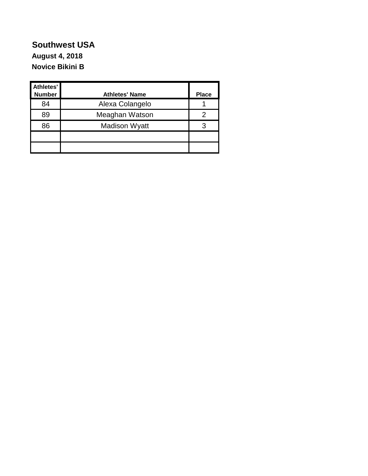#### **Southwest USA Novice Bikini B August 4, 2018**

| Athletes'<br><b>Number</b> | <b>Athletes' Name</b> | <b>Place</b> |
|----------------------------|-----------------------|--------------|
| 84                         | Alexa Colangelo       |              |
| 89                         | Meaghan Watson        |              |
| 86                         | <b>Madison Wyatt</b>  |              |
|                            |                       |              |
|                            |                       |              |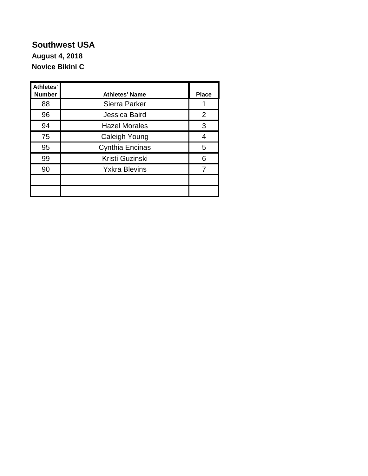#### **Southwest USA Novice Bikini C August 4, 2018**

| <b>Athletes'</b><br><b>Number</b> | <b>Athletes' Name</b> | <b>Place</b> |
|-----------------------------------|-----------------------|--------------|
| 88                                | Sierra Parker         |              |
| 96                                | Jessica Baird         | 2            |
| 94                                | <b>Hazel Morales</b>  | 3            |
| 75                                | Caleigh Young         | 4            |
| 95                                | Cynthia Encinas       | 5            |
| 99                                | Kristi Guzinski       | 6            |
| 90                                | <b>Yxkra Blevins</b>  |              |
|                                   |                       |              |
|                                   |                       |              |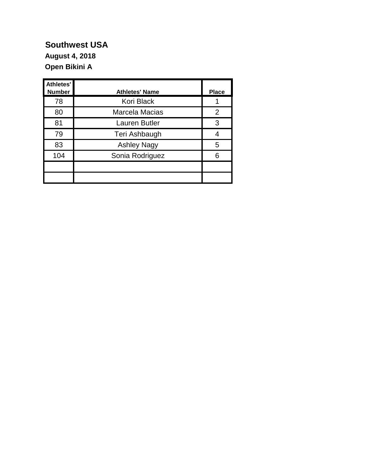#### **Open Bikini A August 4, 2018**

| Athletes'<br><b>Number</b> | <b>Athletes' Name</b> | <b>Place</b> |
|----------------------------|-----------------------|--------------|
| 78                         | Kori Black            |              |
| 80                         | Marcela Macias        | 2            |
| 81                         | <b>Lauren Butler</b>  | 3            |
| 79                         | Teri Ashbaugh         | 4            |
| 83                         | <b>Ashley Nagy</b>    | 5            |
| 104                        | Sonia Rodriguez       | 6            |
|                            |                       |              |
|                            |                       |              |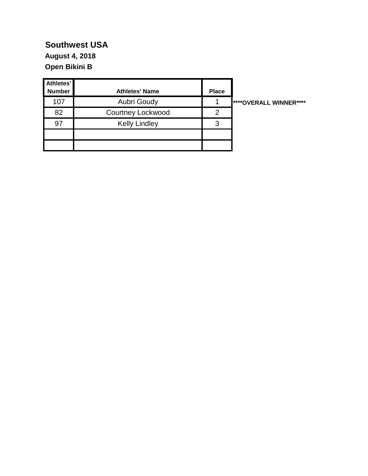**Open Bikini B August 4, 2018**

| Athletes'<br><b>Number</b> | <b>Athletes' Name</b>    | <b>Place</b> |                               |
|----------------------------|--------------------------|--------------|-------------------------------|
| 107                        | <b>Aubri Goudy</b>       |              | <b>****OVERALL WINNER****</b> |
| 82                         | <b>Courtney Lockwood</b> | 2            |                               |
| 97                         | <b>Kelly Lindley</b>     | 3            |                               |
|                            |                          |              |                               |
|                            |                          |              |                               |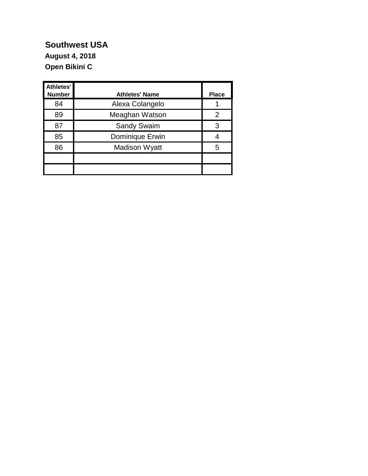#### **Southwest USA Open Bikini C August 4, 2018**

| Athletes'<br><b>Number</b> | <b>Athletes' Name</b> | <b>Place</b>  |
|----------------------------|-----------------------|---------------|
| 84                         | Alexa Colangelo       |               |
| 89                         | Meaghan Watson        | $\mathcal{P}$ |
| 87                         | <b>Sandy Swaim</b>    | З             |
| 85                         | Dominique Erwin       |               |
| 86                         | <b>Madison Wyatt</b>  | 5             |
|                            |                       |               |
|                            |                       |               |